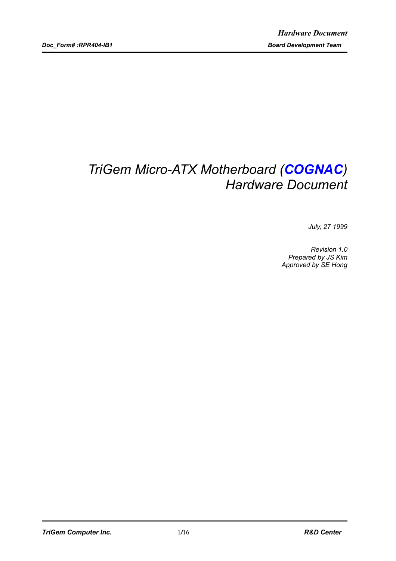# *TriGem Micro-ATX Motherboard (COGNAC) Hardware Document*

*July, 27 1999*

*Revision 1.0 Prepared by JS Kim Approved by SE Hong*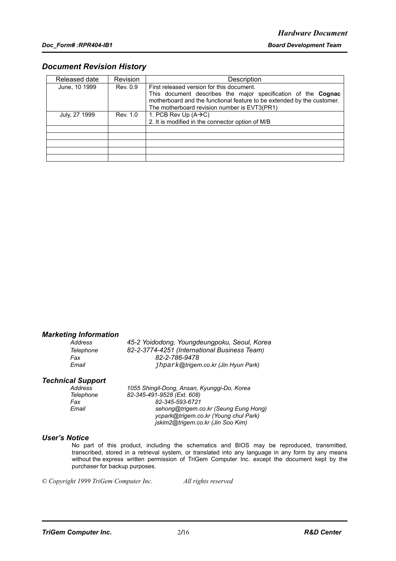#### *Document Revision History*

| Released date | Revision | Description                                                                                                            |
|---------------|----------|------------------------------------------------------------------------------------------------------------------------|
| June, 10 1999 | Rev. 0.9 | First released version for this document.                                                                              |
|               |          | This document describes the major specification of the <b>Cognac</b>                                                   |
|               |          | motherboard and the functional feature to be extended by the customer.<br>The motherboard revision number is EVT3(PR1) |
| July, 27 1999 | Rev. 1.0 | 1. PCB Rev Up $(A \rightarrow C)$                                                                                      |
|               |          | 2. It is modified in the connector option of M/B                                                                       |
|               |          |                                                                                                                        |
|               |          |                                                                                                                        |
|               |          |                                                                                                                        |
|               |          |                                                                                                                        |
|               |          |                                                                                                                        |

#### *Marketing Information*

*Address 45-2 Yoidodong, Youngdeungpoku, Seoul, Korea Telephone 82-2-3774-4251 (International Business Team) Fax 82-2-786-9478 Email* jhpark*@trigem.co.kr (Jin Hyun Park)*

# *Technical Support*

*Address 1055 Shingil-Dong, Ansan, Kyunggi-Do, Korea Telephone 82-345-491-9528 (Ext. 608) Fax 82-345-593-6721 Email sehong@trigem.co.kr (Seung Eung Hong) ycpark@trigem.co.kr (Young chul Park) jskim2@trigem.co.kr (Jin Soo Kim)*

#### *User's Notice*

No part of this product, including the schematics and BIOS may be reproduced, transmitted, transcribed, stored in a retrieval system, or translated into any language in any form by any means without the express written permission of TriGem Computer Inc. except the document kept by the purchaser for backup purposes.

*© Copyright 1999 TriGem Computer Inc. All rights reserved*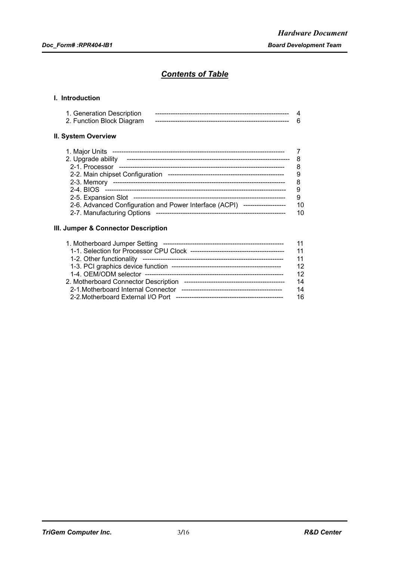### *Contents of Table*

#### **I. Introduction**

| 1. Generation Description |  |
|---------------------------|--|
| 2. Function Block Diagram |  |

#### **II. System Overview**

| 1. Major Units                                                             |    |
|----------------------------------------------------------------------------|----|
| 2. Upgrade ability                                                         |    |
| 2-1. Processor                                                             |    |
| 2-2. Main chipset Configuration                                            |    |
| 2-3. Memory                                                                |    |
|                                                                            |    |
|                                                                            |    |
| 2-6. Advanced Configuration and Power Interface (ACPI) ------------------- | 10 |
| 2-7. Manufacturing Options                                                 | 10 |
|                                                                            |    |

#### **III. Jumper & Connector Description**

| 11 |
|----|
| 11 |
| 12 |
| 12 |
| 14 |
| 14 |
| 16 |
|    |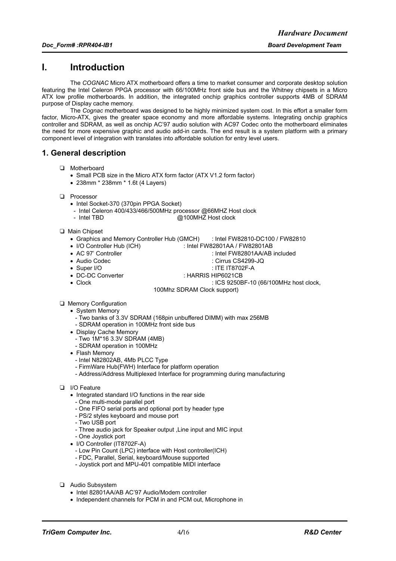### **I. Introduction**

The *COGNAC* Micro ATX motherboard offers a time to market consumer and corporate desktop solution featuring the Intel Celeron PPGA processor with 66/100MHz front side bus and the Whitney chipsets in a Micro ATX low profile motherboards. In addition, the integrated onchip graphics controller supports 4MB of SDRAM purpose of Display cache memory.

The *Cognac* motherboard was designed to be highly minimized system cost. In this effort a smaller form factor, Micro-ATX, gives the greater space economy and more affordable systems. Integrating onchip graphics controller and SDRAM, as well as onchip AC'97 audio solution with AC97 Codec onto the motherboard eliminates the need for more expensive graphic and audio add-in cards. The end result is a system platform with a primary component level of integration with translates into affordable solution for entry level users.

### **1. General description**

- T Motherboard
	- Small PCB size in the Micro ATX form factor (ATX V1.2 form factor)
	- 238mm \* 238mm \* 1.6t (4 Layers)
- **Q** Processor
	- Intel Socket-370 (370pin PPGA Socket)
	- Intel Celeron 400/433/466/500MHz processor @66MHZ Host clock<br>- Intel TBD
		- $@100$ MHZ Host clock
- T Main Chipset
	- Graphics and Memory Controller Hub (GMCH) : Intel FW82810-DC100 / FW82810
	-
	- I/O Controller Hub (ICH) : Intel FW82801AA / FW82801AB
	- AC 97' Controller : Intel FW82801AA/AB included
	- -
	- $\cdot$  Cirrus CS4299-JQ • Super I/O : ITE IT8702F-A
		-
	- DC-DC Converter : : HARRIS HIP6021CB<br>• Clock : ICS 9250B
		- $\therefore$  ICS 9250BF-10 (66/100MHz host clock,
		- 100Mhz SDRAM Clock support)
- **D** Memory Configuration
	- System Memory
		- Two banks of 3.3V SDRAM (168pin unbuffered DIMM) with max 256MB
		- SDRAM operation in 100MHz front side bus
	- Display Cache Memory
		- Two 1M\*16 3.3V SDRAM (4MB)
		- SDRAM operation in 100MHz
	- Flash Memory
		- Intel N82802AB, 4Mb PLCC Type
		- FirmWare Hub(FWH) Interface for platform operation
	- Address/Address Multiplexed Interface for programming during manufacturing
- **D** I/O Feature
	- Integrated standard I/O functions in the rear side
	- One multi-mode parallel port
	- One FIFO serial ports and optional port by header type
	- PS/2 styles keyboard and mouse port
	- Two USB port
	- Three audio jack for Speaker output ,Line input and MIC input
	- One Joystick port
	- I/O Controller (IT8702F-A)
		- Low Pin Count (LPC) interface with Host controller(ICH)
		- FDC, Parallel, Serial, keyboard/Mouse supported
		- Joystick port and MPU-401 compatible MIDI interface
- T Audio Subsystem
	- Intel 82801AA/AB AC'97 Audio/Modem controller
	- Independent channels for PCM in and PCM out, Microphone in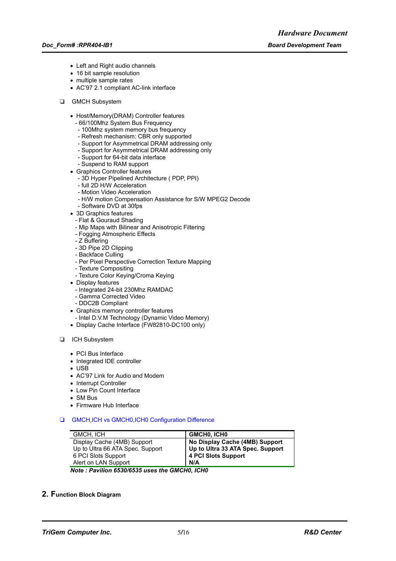- Left and Right audio channels
- 16 bit sample resolution
- multiple sample rates
- AC'97 2.1 compliant AC-link interface
- **Q** GMCH Subsystem
	- Host/Memory(DRAM) Controller features
		- 66/100Mhz System Bus Frequency
		- 100Mhz system memory bus frequency
		- Refresh mechanism: CBR only supported
		- Support for Asymmetrical DRAM addressing only
		- Support for Asymmetrical DRAM addressing only
		- Support for 64-bit data interface
		- Suspend to RAM support
	- Graphics Controller features
		- 3D Hyper Pipelined Architecture ( PDP, PPI)
		- full 2D H/W Acceleration
		- Motion Video Acceleration
		- H/W motion Compensation Assistance for S/W MPEG2 Decode
		- Software DVD at 30fps
	- 3D Graphics features
		- Flat & Gouraud Shading
		- Mip Maps with Bilinear and Anisotropic Filtering
		- Fogging Atmospheric Effects
		- Z Buffering
		- 3D Pipe 2D Clipping
		- Backface Culling
		- Per Pixel Perspective Correction Texture Mapping
		- Texture Compositing
		- Texture Color Keying/Croma Keying
	- Display features
		- Integrated 24-bit 230Mhz RAMDAC
		- Gamma Corrected Video
		- DDC2B Compliant
	- Graphics memory controller features
		- Intel D.V.M Technology (Dynamic Video Memory)
	- Display Cache Interface (FW82810-DC100 only)

#### **D** ICH Subsystem

- PCI Bus Interface
- Integrated IDE controller
- USB
- AC'97 Link for Audio and Modem
- Interrupt Controller
- Low Pin Count Interface
- SM Bus
- Firmware Hub Interface
- □ GMCH, ICH vs GMCH0, ICH0 Configuration Difference

| GMCH, ICH                        | <b>GMCHO, ICHO</b>               |
|----------------------------------|----------------------------------|
| Display Cache (4MB) Support      | No Display Cache (4MB) Support   |
| Up to Ultra 66 ATA Spec. Support | Up to Ultra 33 ATA Spec. Support |
| 6 PCI Slots Support              | 4 PCI Slots Support              |
| Alert on LAN Support             | N/A                              |

*Note : Pavilion 6530/6535 uses the GMCH0, ICH0*

#### **2. Function Block Diagram**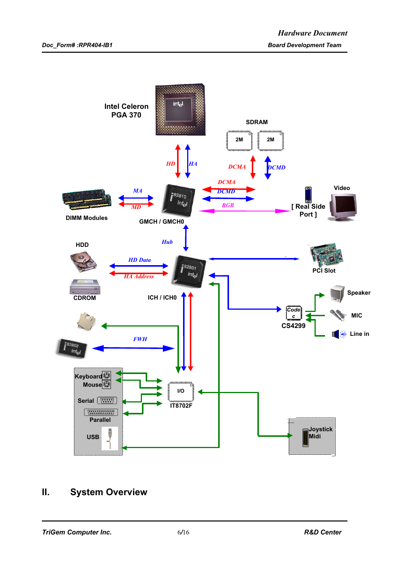

## **II. System Overview**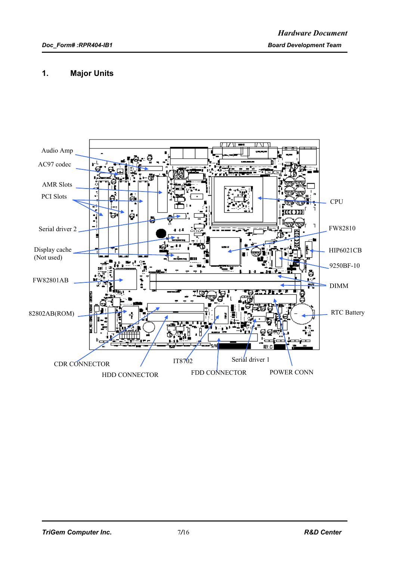### **1. Major Units**

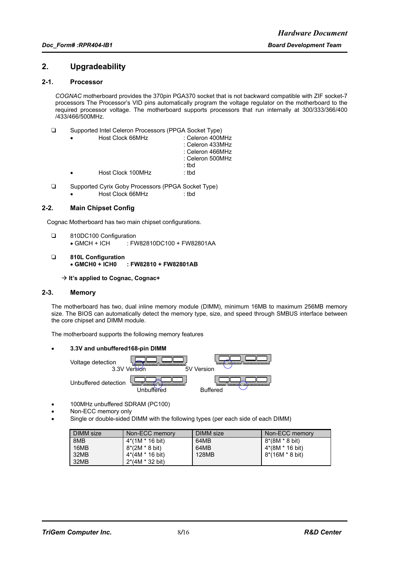#### **2. Upgradeability**

#### **2-1. Processor**

*COGNAC* motherboard provides the 370pin PGA370 socket that is not backward compatible with ZIF socket-7 processors The Processor's VID pins automatically program the voltage regulator on the motherboard to the required processor voltage. The motherboard supports processors that run internally at 300/333/366/400 /433/466/500MHz.

| Host Clock 66MHz  | : Celeron 400MHz<br>: Celeron 433MHz<br>: Celeron 466MHz<br>: Celeron 500MHz<br>: tbd |
|-------------------|---------------------------------------------------------------------------------------|
| Host Clock 100MHz | : tbd                                                                                 |

□ Supported Cyrix Goby Processors (PPGA Socket Type) • Host Clock 66MHz : tbd

#### **2-2. Main Chipset Config**

Cognac Motherboard has two main chipset configurations.

- □ 810DC100 Configuration • GMCH + ICH : FW82810DC100 + FW82801AA
- T **810L Configuration** • **GMCH0 + ICH0 : FW82810 + FW82801AB**
	- Æ **It's applied to Cognac, Cognac+**

#### **2-3. Memory**

The motherboard has two, dual inline memory module (DIMM), minimum 16MB to maximum 256MB memory size. The BIOS can automatically detect the memory type, size, and speed through SMBUS interface between the core chipset and DIMM module.

The motherboard supports the following memory features

#### • **3.3V and unbuffered168-pin DIMM**

Voltage detection 3.3V Version 5V Version Unbuffered detection Unbuffered Buffered

- 100MHz unbuffered SDRAM (PC100)
- Non-ECC memory only
- Single or double-sided DIMM with the following types (per each side of each DIMM)

| DIMM size | Non-ECC memory            | DIMM size | Non-ECC memory  |
|-----------|---------------------------|-----------|-----------------|
| 8MB       | 4*(1M * 16 bit)           | 64MB      | 8*(8M * 8 bit)  |
| 16MB      | 8*(2M * 8 bit)            | 64MB      | 4*(8M * 16 bit) |
| 32MB      | 4*(4M * 16 bit)           | 128MB     | 8*(16M * 8 bit) |
| 32MB      | $2*(4M * 32 \text{ bit})$ |           |                 |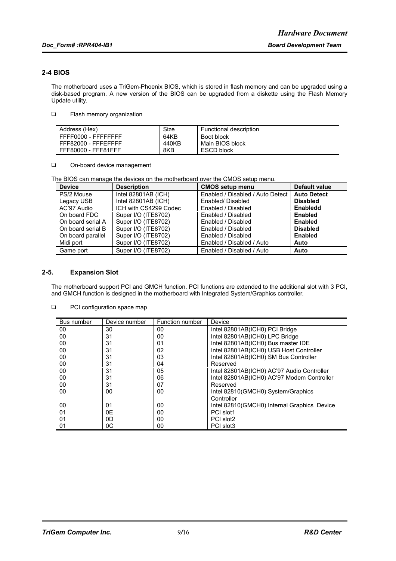#### **2-4 BIOS**

The motherboard uses a TriGem-Phoenix BIOS, which is stored in flash memory and can be upgraded using a disk-based program. A new version of the BIOS can be upgraded from a diskette using the Flash Memory Update utility.

 $\Box$  Flash memory organization

| Address (Hex)       | Size  | Functional description |
|---------------------|-------|------------------------|
| FFFF0000 - FFFFFFFF | 64KB  | Boot block             |
| FFF82000 - FFFEFFFF | 440KB | Main BIOS block        |
| FFF80000 - FFF81FFF | 8KB   | ESCD block             |

On-board device management

The BIOS can manage the devices on the motherboard over the CMOS setup menu.

| <b>Device</b>     | <b>Description</b>    | <b>CMOS setup menu</b>           | Default value      |
|-------------------|-----------------------|----------------------------------|--------------------|
| PS/2 Mouse        | Intel 82801AB (ICH)   | Enabled / Disabled / Auto Detect | <b>Auto Detect</b> |
| Legacy USB        | Intel 82801AB (ICH)   | Enabled/Disabled                 | <b>Disabled</b>    |
| AC'97 Audio       | ICH with CS4299 Codec | Enabled / Disabled               | <b>Enabledd</b>    |
| On board FDC      | Super I/O (ITE8702)   | Enabled / Disabled               | Enabled            |
| On board serial A | Super I/O (ITE8702)   | Enabled / Disabled               | <b>Enabled</b>     |
| On board serial B | Super I/O (ITE8702)   | Enabled / Disabled               | <b>Disabled</b>    |
| On board parallel | Super I/O (ITE8702)   | Enabled / Disabled               | Enabled            |
| Midi port         | Super I/O (ITE8702)   | Enabled / Disabled / Auto        | Auto               |
| Game port         | Super I/O (ITE8702)   | Enabled / Disabled / Auto        | Auto               |

#### **2-5. Expansion Slot**

The motherboard support PCI and GMCH function. PCI functions are extended to the additional slot with 3 PCI, and GMCH function is designed in the motherboard with Integrated System/Graphics controller.

| ❏ | PCI configuration space map |  |  |
|---|-----------------------------|--|--|
|---|-----------------------------|--|--|

| Bus number | Device number | Function number | Device                                      |
|------------|---------------|-----------------|---------------------------------------------|
| 00         | 30            | 00              | Intel 82801AB(ICH0) PCI Bridge              |
| 00         | 31            | 00              | Intel 82801AB(ICH0) LPC Bridge              |
| 00         | 31            | 01              | Intel 82801AB(ICH0) Bus master IDE          |
| 00         | 31            | 02              | Intel 82801AB(ICH0) USB Host Controller     |
| 00         | 31            | 03              | Intel 82801AB(ICH0) SM Bus Controller       |
| 00         | 31            | 04              | Reserved                                    |
| 00         | 31            | 05              | Intel 82801AB(ICH0) AC'97 Audio Controller  |
| 00         | 31            | 06              | Intel 82801AB(ICH0) AC'97 Modem Controller  |
| 00         | 31            | 07              | Reserved                                    |
| 00         | 00            | 00              | Intel 82810(GMCH0) System/Graphics          |
|            |               |                 | Controller                                  |
| 00         | 01            | 00              | Intel 82810(GMCH0) Internal Graphics Device |
| 01         | 0E            | 00              | PCI slot1                                   |
| 01         | 0D            | 00              | PCI slot2                                   |
| 01         | 0C            | 00              | PCI slot3                                   |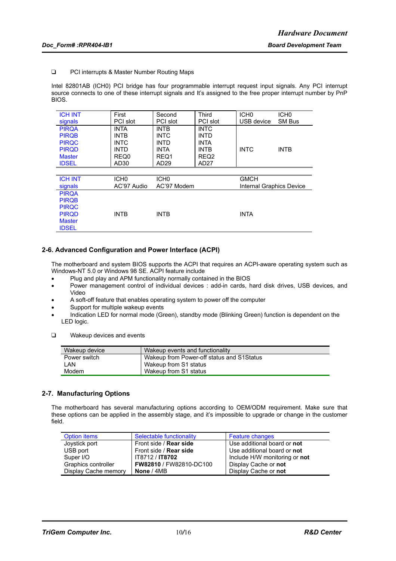#### □ PCI interrupts & Master Number Routing Maps

Intel 82801AB (ICH0) PCI bridge has four programmable interrupt request input signals. Any PCI interrupt source connects to one of these interrupt signals and It's assigned to the free proper interrupt number by PnP BIOS.

| <b>ICH INT</b> | First            | Second           | Third            | ICH <sub>0</sub>         | ICH <sub>0</sub> |
|----------------|------------------|------------------|------------------|--------------------------|------------------|
| signals        | <b>PCI</b> slot  | PCI slot         | PCI slot         | USB device               | SM Bus           |
| <b>PIRQA</b>   | <b>INTA</b>      | <b>INTB</b>      | <b>INTC</b>      |                          |                  |
| <b>PIRQB</b>   | <b>INTB</b>      | <b>INTC</b>      | <b>INTD</b>      |                          |                  |
| <b>PIRQC</b>   | <b>INTC</b>      | INTD             | <b>INTA</b>      |                          |                  |
| <b>PIRQD</b>   | <b>INTD</b>      | <b>INTA</b>      | <b>INTB</b>      | <b>INTC</b>              | <b>INTB</b>      |
| <b>Master</b>  | REQ0             | REQ1             | REQ <sub>2</sub> |                          |                  |
| <b>IDSEL</b>   | AD <sub>30</sub> | AD <sub>29</sub> | AD27             |                          |                  |
|                |                  |                  |                  |                          |                  |
| <b>ICH INT</b> | ICH <sub>0</sub> | ICH <sub>0</sub> |                  | <b>GMCH</b>              |                  |
| signals        | AC'97 Audio      | AC'97 Modem      |                  | Internal Graphics Device |                  |
| <b>PIRQA</b>   |                  |                  |                  |                          |                  |
| <b>PIRQB</b>   |                  |                  |                  |                          |                  |
| <b>PIRQC</b>   |                  |                  |                  |                          |                  |
| <b>PIRQD</b>   | <b>INTB</b>      | <b>INTB</b>      |                  | <b>INTA</b>              |                  |
| <b>Master</b>  |                  |                  |                  |                          |                  |
| <b>IDSEL</b>   |                  |                  |                  |                          |                  |

#### **2-6. Advanced Configuration and Power Interface (ACPI)**

The motherboard and system BIOS supports the ACPI that requires an ACPI-aware operating system such as Windows-NT 5.0 or Windows 98 SE. ACPI feature include

- Plug and play and APM functionality normally contained in the BIOS
- Power management control of individual devices : add-in cards, hard disk drives, USB devices, and Video
- A soft-off feature that enables operating system to power off the computer
- Support for multiple wakeup events
- Indication LED for normal mode (Green), standby mode (Blinking Green) function is dependent on the LED logic.
- **T** Wakeup devices and events

| Wakeup device | Wakeup events and functionality           |
|---------------|-------------------------------------------|
| Power switch  | Wakeup from Power-off status and S1Status |
| LAN           | Wakeup from S1 status                     |
| Modem         | Wakeup from S1 status                     |

#### **2-7. Manufacturing Options**

The motherboard has several manufacturing options according to OEM/ODM requirement. Make sure that these options can be applied in the assembly stage, and it's impossible to upgrade or change in the customer field.

| Option items         | Selectable functionality       | <b>Feature changes</b>        |
|----------------------|--------------------------------|-------------------------------|
| Joystick port        | Front side / <b>Rear side</b>  | Use additional board or not   |
| USB port             | Front side / <b>Rear side</b>  | Use additional board or not   |
| Super I/O            | IT8712 / <b>IT8702</b>         | Include H/W monitoring or not |
| Graphics controller  | <b>FW82810 / FW82810-DC100</b> | Display Cache or not          |
| Display Cache memory | None / 4MB                     | Display Cache or not          |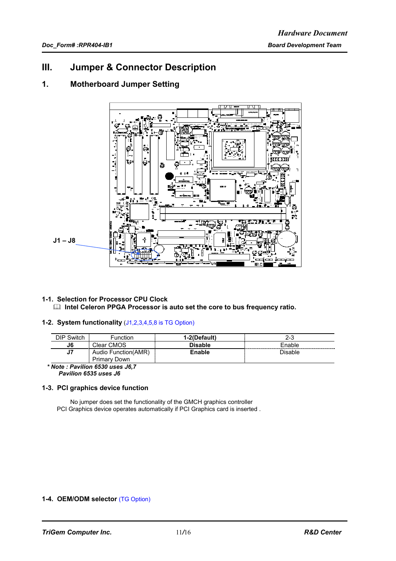### **III. Jumper & Connector Description**

### **1. Motherboard Jumper Setting**



#### **1-1. Selection for Processor CPU Clock**  $\Box$  **Intel Celeron PPGA Processor is auto set the core to bus frequency ratio.**

#### **1-2. System functionality** (J1,2,3,4,5,8 is TG Option)

| Switch<br>סור       | unction                                | l-2(Default)   | 2-3         |
|---------------------|----------------------------------------|----------------|-------------|
| J6<br>------------- | Clear CMOS                             | <b>Disable</b> | ⊏nable<br>. |
| υı                  | Audio Function(AMR)<br>Primar∖<br>Down | <b>Enable</b>  | Disable     |

 *\* Note : Pavilion 6530 uses J6,7 Pavilion 6535 uses J6*

#### **1-3. PCI graphics device function**

No jumper does set the functionality of the GMCH graphics controller PCI Graphics device operates automatically if PCI Graphics card is inserted .

#### **1-4. OEM/ODM selector** (TG Option)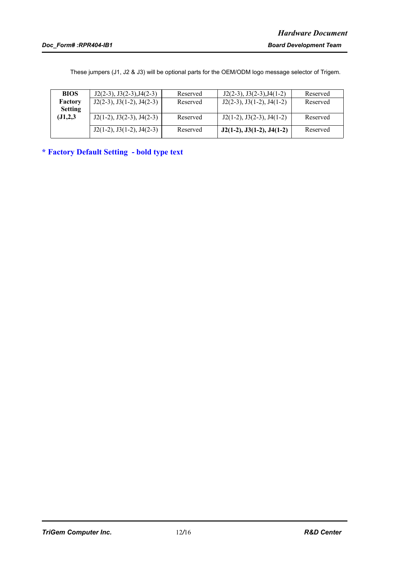These jumpers (J1, J2 & J3) will be optional parts for the OEM/ODM logo message selector of Trigem.

| <b>BIOS</b>    | $J2(2-3)$ , $J3(2-3)$ , $J4(2-3)$ | Reserved | $J2(2-3), J3(2-3), J4(1-2)$       | Reserved |
|----------------|-----------------------------------|----------|-----------------------------------|----------|
| Factory        | $J2(2-3)$ , $J3(1-2)$ , $J4(2-3)$ | Reserved | $J2(2-3)$ , $J3(1-2)$ , $J4(1-2)$ | Reserved |
| <b>Setting</b> |                                   |          |                                   |          |
| (J1,2,3)       | $J2(1-2), J3(2-3), J4(2-3)$       | Reserved | $J2(1-2)$ , $J3(2-3)$ , $J4(1-2)$ | Reserved |
|                | $J2(1-2), J3(1-2), J4(2-3)$       | Reserved | $J2(1-2), J3(1-2), J4(1-2)$       | Reserved |
|                |                                   |          |                                   |          |

**\* Factory Default Setting - bold type text**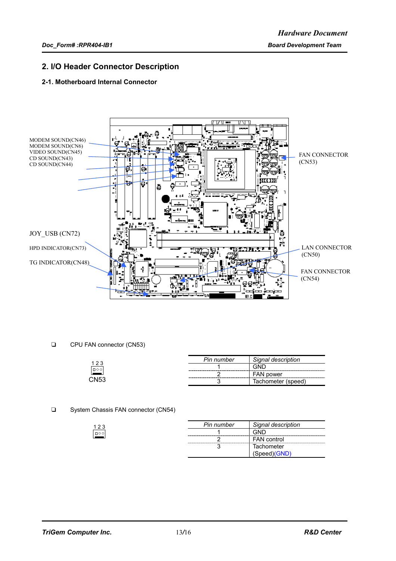### **2. I/O Header Connector Description**

#### **2-1. Motherboard Internal Connector**



CPU FAN connector (CN53)

|                  | Pin number | Signal description |
|------------------|------------|--------------------|
| اەەם,            |            | <b>AND</b>         |
|                  |            | <b>FAN power</b>   |
| CN <sub>53</sub> |            | Tachometer (speed) |
|                  |            |                    |

□ System Chassis FAN connector (CN54)

| Pin number | Signal description |
|------------|--------------------|
|            |                    |
|            | <b>FAN</b> control |
|            | Tachometer         |
|            | Speed)(GND)        |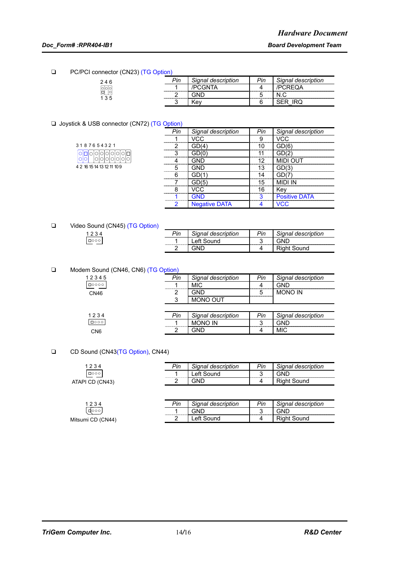□ PC/PCI connector (CN23) (TG Option)

| $n$ . The case $n \times n$ of $n \times n$ |     |                    |     |                    |
|---------------------------------------------|-----|--------------------|-----|--------------------|
| 246                                         | ⊵in | Signal description | Pin | Signal description |
| 이이                                          |     |                    |     |                    |
| 135                                         |     |                    |     |                    |
|                                             |     | ۰e۷                |     |                    |

#### □ Joystick & USB connector (CN72) (TG Option)

| 3187654321                 |                       |  |  |  |  |
|----------------------------|-----------------------|--|--|--|--|
|                            | 000000000<br>00000000 |  |  |  |  |
| 4 2 16 15 14 13 12 11 10 9 |                       |  |  |  |  |

|                               | Signal description   | Signal description |
|-------------------------------|----------------------|--------------------|
|                               |                      |                    |
|                               |                      | <br>               |
|                               |                      |                    |
|                               | --------             |                    |
|                               |                      |                    |
| ,,,,,,,,,,,,,,,,,,,,,,,,,,,,, |                      |                    |
|                               |                      |                    |
|                               |                      |                    |
|                               |                      | Positive DA        |
|                               | <b>Negative DATA</b> |                    |

□ Video Sound (CN45) (TG Option)

| 1234 | ⊵in | Signal description | Pin | Signal description |
|------|-----|--------------------|-----|--------------------|
| □○○○ |     | _eft<br>---------- |     | GND                |
|      |     |                    |     | Riaht Sound        |

#### □ Modem Sound (CN46, CN6) (TG Option)

| $\sim$      |     |                    |     |                    |
|-------------|-----|--------------------|-----|--------------------|
| 12345       | Pin | Signal description | Pin | Signal description |
| $\Box$ 0000 |     | <b>MIC</b>         |     | GND                |
| CN46        |     | าม∩                |     | <b>MONO IN</b>     |
|             |     | <b>MONO OUT</b>    |     |                    |
|             |     |                    |     |                    |
| 1234        | Pin | Signal description | Pin | Signal description |
| $\Box$ 000  |     | <b>MONO IN</b>     |     | GND                |
| CN6         |     | GND                |     | <b>MIC</b>         |

#### □ CD Sound (CN43(TG Option), CN44)

| 1234            | Pin | Signal description     | Pin | Signal description |
|-----------------|-----|------------------------|-----|--------------------|
| $\Box$ 000      |     | <sub>-</sub> eft Sound | ◠   | GND                |
| ATAPI CD (CN43) |     | ЭNГ                    |     | Right Sound        |
|                 |     |                        |     |                    |

|                   | Pin | Sianal<br>description '     | Pin | Signal description                             |
|-------------------|-----|-----------------------------|-----|------------------------------------------------|
| $\Box$ 000        |     | GND<br>-------------------- |     | GND<br>,,,,,,,,,,,,,,,,,,,,,,,,,,<br>--------- |
| Mitsumi CD (CN44) |     | ∱∩<br>Sound                 | 4   | Sound                                          |
|                   |     |                             |     |                                                |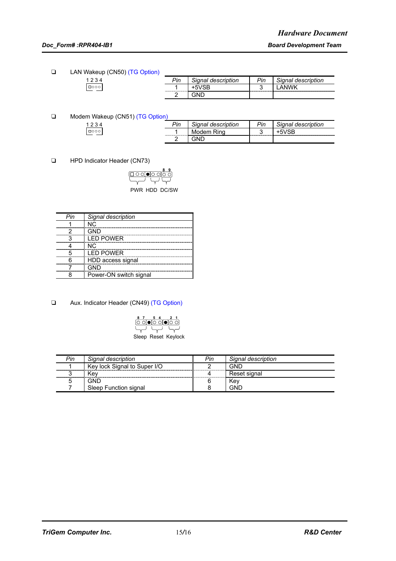#### *Doc\_Form# :RPR404-IB1 Board Development Team*

**T** LAN Wakeup (CN50) (TG Option)

| $\sim$ | ⊳in<br>,,, | description | Pin   | INNA<br>aesci<br>,,,, |
|--------|------------|-------------|-------|-----------------------|
|        |            |             | w<br> |                       |
|        |            |             |       |                       |

□ Modem Wakeup (CN51) (TG Option)

| $\sim$ | Pin | Tional.<br>description | Pin   | description<br>Jonna |
|--------|-----|------------------------|-------|----------------------|
|        |     | Rino<br>.udem.<br>M.   | w<br> | 10D                  |
|        |     |                        |       |                      |

**T** HPD Indicator Header (CN73)

| ୦ ା•ା୦ ାଠି    |
|---------------|
|               |
|               |
| PWR HDD DC/SW |

| Pin | Signal description     |
|-----|------------------------|
|     | N <sub>C</sub>         |
|     | GND                    |
|     | <b>LED POWER</b>       |
|     | NC.                    |
|     | <b>I FD POWFR</b>      |
|     | HDD access signal      |
|     | GND                    |
|     | Power-ON switch signal |

□ Aux. Indicator Header (CN49) (TG Option)



| Pin | Signal description           | Pin | Signal description |
|-----|------------------------------|-----|--------------------|
|     | Key lock Signal to Super I/O |     | GNE                |
|     | Kev                          |     | Reset signal       |
|     | GND                          |     | Kev                |
|     | Sleep Function signal        |     | GNF                |